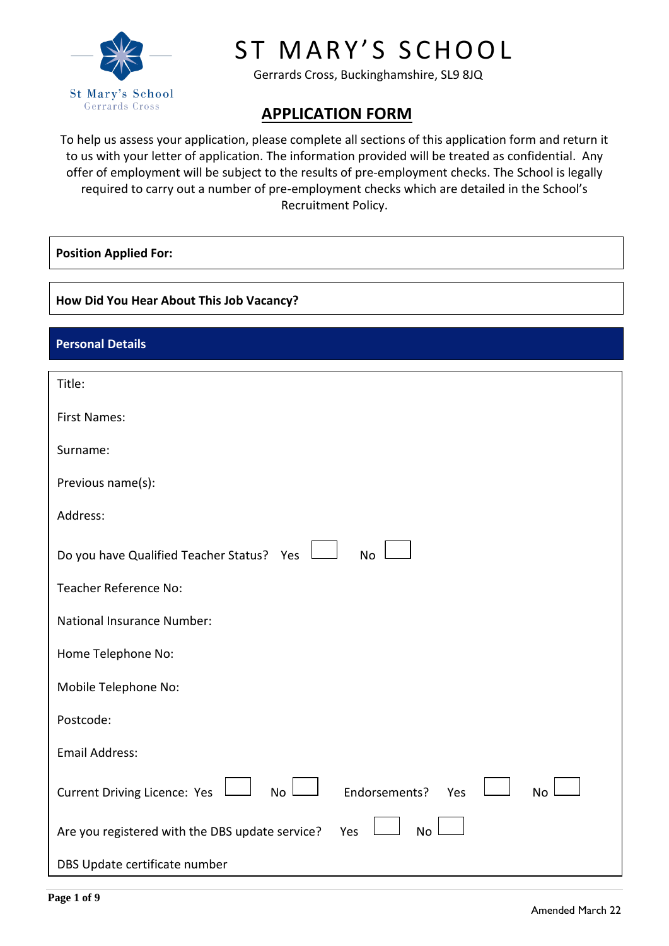

# ST MARY'S SCHOOL

Gerrards Cross, Buckinghamshire, SL9 8JQ

## **APPLICATION FORM**

To help us assess your application, please complete all sections of this application form and return it to us with your letter of application. The information provided will be treated as confidential. Any offer of employment will be subject to the results of pre-employment checks. The School is legally required to carry out a number of pre-employment checks which are detailed in the School's Recruitment Policy.

#### **Position Applied For:**

#### **How Did You Hear About This Job Vacancy?**

## **Personal Details**

| Title:                                                                         |
|--------------------------------------------------------------------------------|
| <b>First Names:</b>                                                            |
| Surname:                                                                       |
| Previous name(s):                                                              |
| Address:                                                                       |
| Do you have Qualified Teacher Status? Yes<br><b>No</b>                         |
| Teacher Reference No:                                                          |
| <b>National Insurance Number:</b>                                              |
| Home Telephone No:                                                             |
| Mobile Telephone No:                                                           |
| Postcode:                                                                      |
| <b>Email Address:</b>                                                          |
| <b>Current Driving Licence: Yes</b><br>No<br>Endorsements?<br>Yes<br><b>No</b> |
| <b>No</b><br>Are you registered with the DBS update service?<br>Yes            |
| DBS Update certificate number                                                  |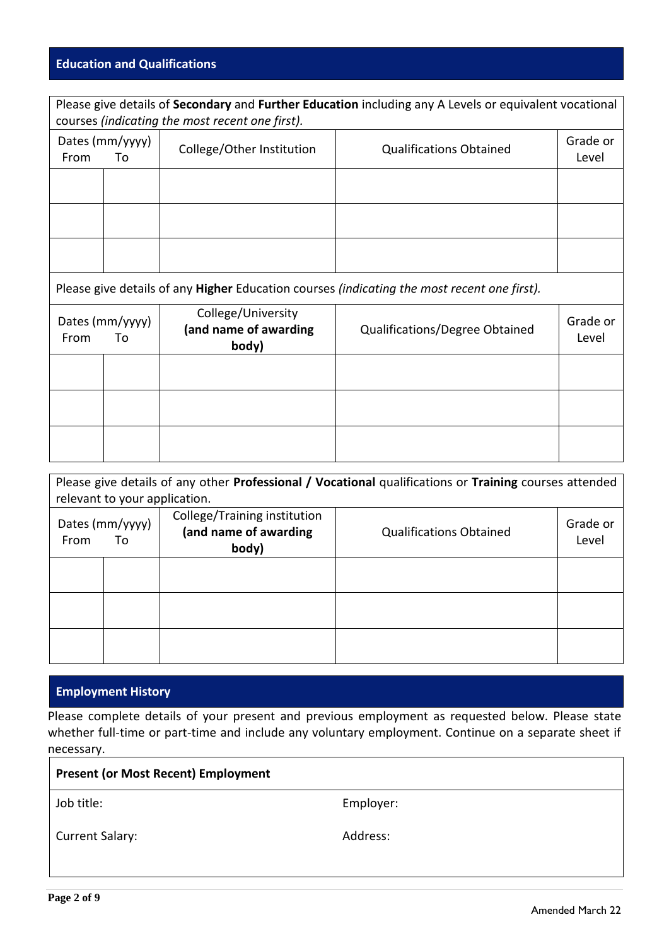## **Education and Qualifications**

| Please give details of Secondary and Further Education including any A Levels or equivalent vocational<br>courses (indicating the most recent one first). |  |                                                             |                                                                                                            |                   |
|-----------------------------------------------------------------------------------------------------------------------------------------------------------|--|-------------------------------------------------------------|------------------------------------------------------------------------------------------------------------|-------------------|
| Dates (mm/yyyy)<br>From<br>To                                                                                                                             |  | College/Other Institution<br><b>Qualifications Obtained</b> |                                                                                                            | Grade or<br>Level |
|                                                                                                                                                           |  |                                                             |                                                                                                            |                   |
|                                                                                                                                                           |  |                                                             |                                                                                                            |                   |
|                                                                                                                                                           |  |                                                             |                                                                                                            |                   |
|                                                                                                                                                           |  |                                                             | Please give details of any <b>Higher</b> Education courses <i>(indicating the most recent one first)</i> . |                   |
| College/University<br>Dates (mm/yyyy)<br>(and name of awarding<br>From<br>To<br>body)                                                                     |  | Qualifications/Degree Obtained                              | Grade or<br>Level                                                                                          |                   |
|                                                                                                                                                           |  |                                                             |                                                                                                            |                   |
|                                                                                                                                                           |  |                                                             |                                                                                                            |                   |
|                                                                                                                                                           |  |                                                             |                                                                                                            |                   |

| Please give details of any other Professional / Vocational qualifications or Training courses attended |                       |                                                                |                                |                   |
|--------------------------------------------------------------------------------------------------------|-----------------------|----------------------------------------------------------------|--------------------------------|-------------------|
| relevant to your application.                                                                          |                       |                                                                |                                |                   |
| From                                                                                                   | Dates (mm/yyyy)<br>To | College/Training institution<br>(and name of awarding<br>body) | <b>Qualifications Obtained</b> | Grade or<br>Level |
|                                                                                                        |                       |                                                                |                                |                   |
|                                                                                                        |                       |                                                                |                                |                   |
|                                                                                                        |                       |                                                                |                                |                   |

## **Employment History**

Please complete details of your present and previous employment as requested below. Please state whether full-time or part-time and include any voluntary employment. Continue on a separate sheet if necessary.

| <b>Present (or Most Recent) Employment</b> |           |  |
|--------------------------------------------|-----------|--|
| Job title:                                 | Employer: |  |
| <b>Current Salary:</b>                     | Address:  |  |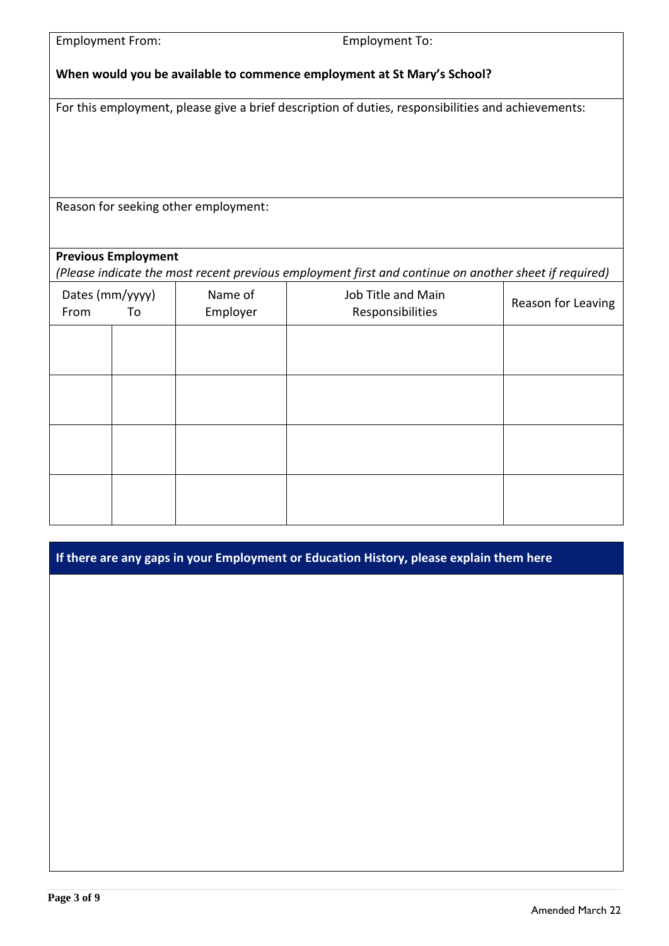| <b>Employment From:</b> |                                                                         | <b>Employment To:</b>                |                                                                                                       |                    |  |
|-------------------------|-------------------------------------------------------------------------|--------------------------------------|-------------------------------------------------------------------------------------------------------|--------------------|--|
|                         | When would you be available to commence employment at St Mary's School? |                                      |                                                                                                       |                    |  |
|                         |                                                                         |                                      | For this employment, please give a brief description of duties, responsibilities and achievements:    |                    |  |
|                         |                                                                         |                                      |                                                                                                       |                    |  |
|                         |                                                                         |                                      |                                                                                                       |                    |  |
|                         |                                                                         | Reason for seeking other employment: |                                                                                                       |                    |  |
|                         |                                                                         |                                      |                                                                                                       |                    |  |
|                         | <b>Previous Employment</b>                                              |                                      | (Please indicate the most recent previous employment first and continue on another sheet if required) |                    |  |
| Dates (mm/yyyy)<br>From | To                                                                      | Name of<br>Employer                  | Job Title and Main<br>Responsibilities                                                                | Reason for Leaving |  |
|                         |                                                                         |                                      |                                                                                                       |                    |  |
|                         |                                                                         |                                      |                                                                                                       |                    |  |
|                         |                                                                         |                                      |                                                                                                       |                    |  |
|                         |                                                                         |                                      |                                                                                                       |                    |  |
|                         |                                                                         |                                      |                                                                                                       |                    |  |
|                         |                                                                         |                                      |                                                                                                       |                    |  |

**If there are any gaps in your Employment or Education History, please explain them here**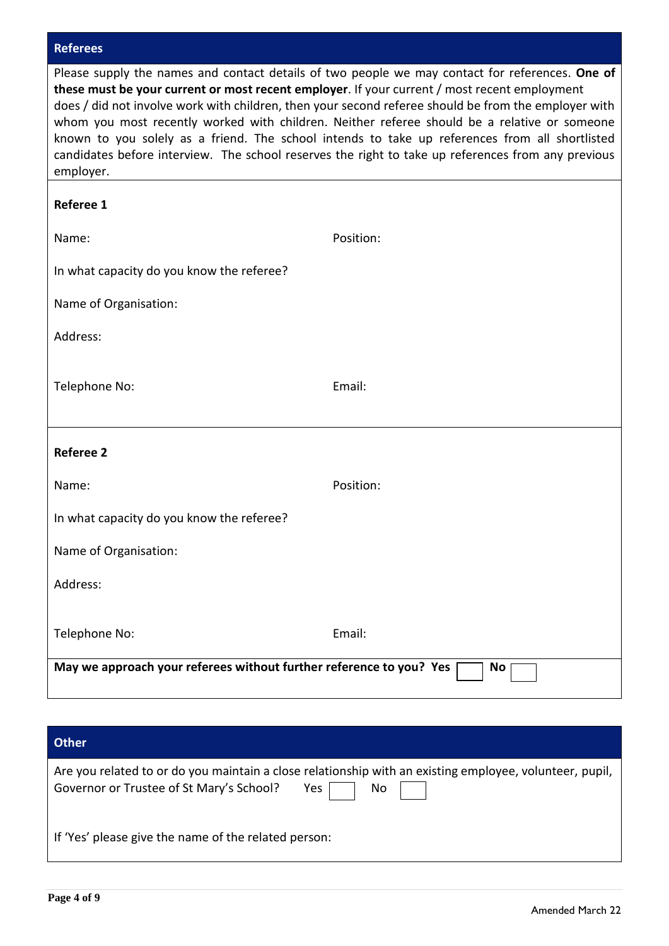### **Referees**

| Please supply the names and contact details of two people we may contact for references. One of      |  |  |  |
|------------------------------------------------------------------------------------------------------|--|--|--|
| these must be your current or most recent employer. If your current / most recent employment         |  |  |  |
| does / did not involve work with children, then your second referee should be from the employer with |  |  |  |
| whom you most recently worked with children. Neither referee should be a relative or someone         |  |  |  |
| known to you solely as a friend. The school intends to take up references from all shortlisted       |  |  |  |
| candidates before interview. The school reserves the right to take up references from any previous   |  |  |  |
| employer.                                                                                            |  |  |  |

| <b>Referee 1</b>                                                    |           |
|---------------------------------------------------------------------|-----------|
| Name:                                                               | Position: |
| In what capacity do you know the referee?                           |           |
| Name of Organisation:                                               |           |
| Address:                                                            |           |
| Telephone No:                                                       | Email:    |
| <b>Referee 2</b>                                                    |           |
| Name:                                                               | Position: |
| In what capacity do you know the referee?                           |           |
| Name of Organisation:                                               |           |
| Address:                                                            |           |
| Telephone No:                                                       | Email:    |
| May we approach your referees without further reference to you? Yes | <b>No</b> |

## **Other**

| Governor or Trustee of St Mary's School?  Yes     No | Are you related to or do you maintain a close relationship with an existing employee, volunteer, pupil, |
|------------------------------------------------------|---------------------------------------------------------------------------------------------------------|
| If 'Yes' please give the name of the related person: |                                                                                                         |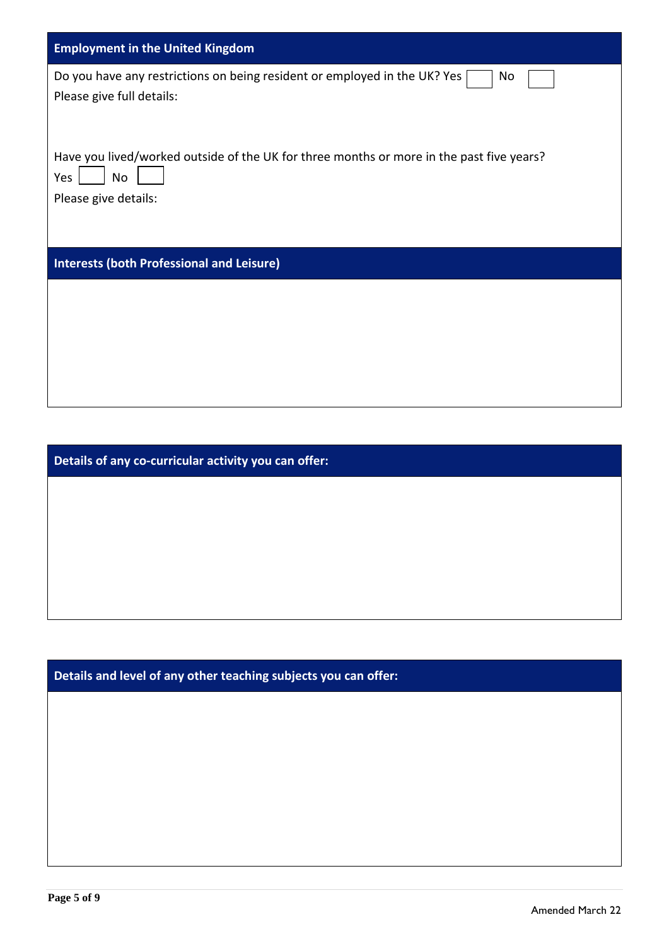| <b>Employment in the United Kingdom</b>                                                                                       |
|-------------------------------------------------------------------------------------------------------------------------------|
| Do you have any restrictions on being resident or employed in the UK? Yes<br>No<br>Please give full details:                  |
| Have you lived/worked outside of the UK for three months or more in the past five years?<br>Yes<br>No<br>Please give details: |
| <b>Interests (both Professional and Leisure)</b>                                                                              |
|                                                                                                                               |

**Details of any co-curricular activity you can offer:**

**Details and level of any other teaching subjects you can offer:**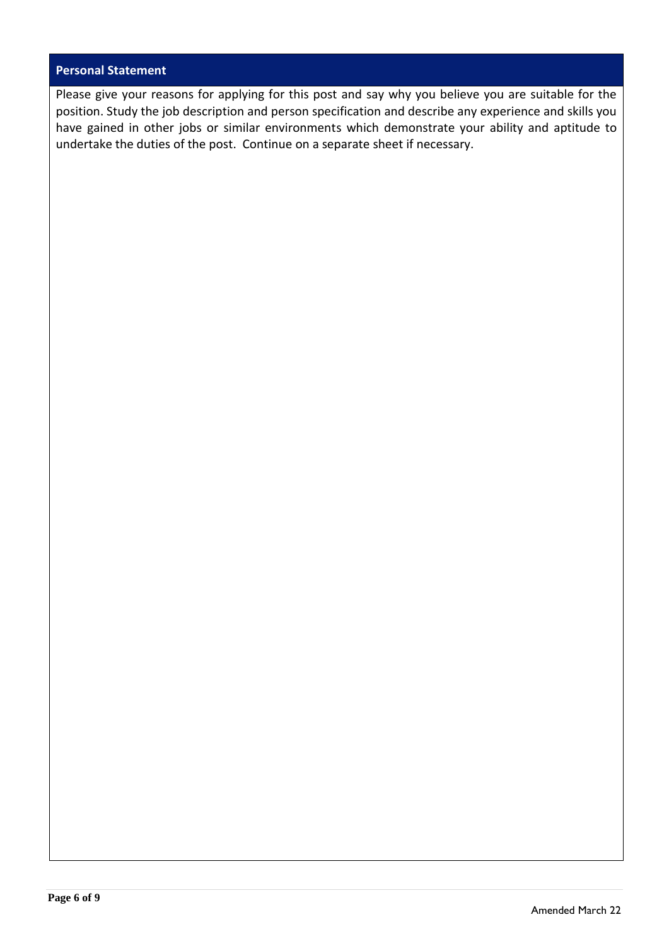#### **Personal Statement**

Please give your reasons for applying for this post and say why you believe you are suitable for the position. Study the job description and person specification and describe any experience and skills you have gained in other jobs or similar environments which demonstrate your ability and aptitude to undertake the duties of the post. Continue on a separate sheet if necessary.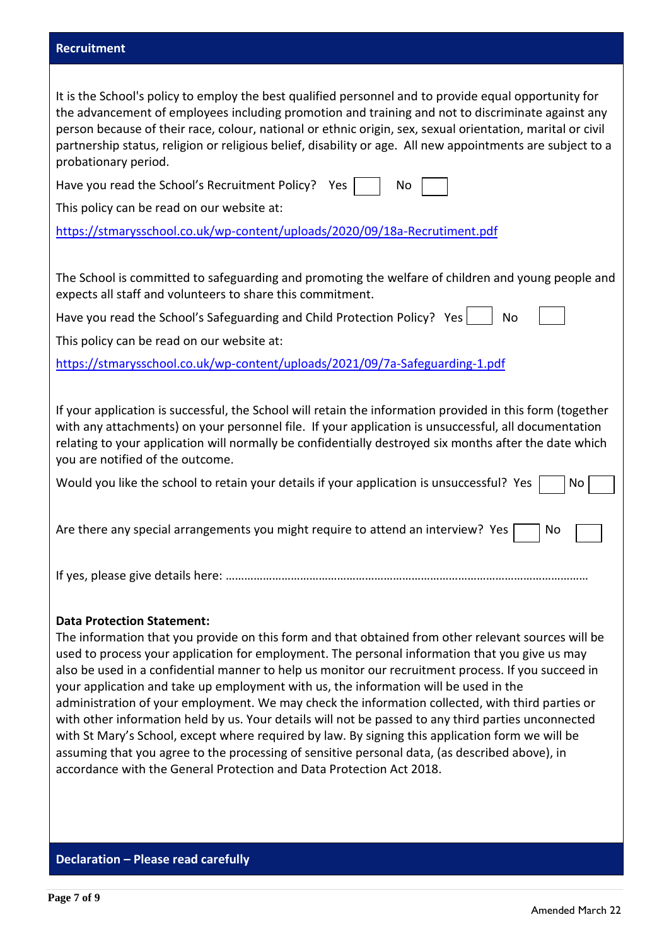#### **Recruitment**

| It is the School's policy to employ the best qualified personnel and to provide equal opportunity for<br>the advancement of employees including promotion and training and not to discriminate against any<br>person because of their race, colour, national or ethnic origin, sex, sexual orientation, marital or civil<br>partnership status, religion or religious belief, disability or age. All new appointments are subject to a<br>probationary period.                                                                                                                                                                                                                                                                                           |
|----------------------------------------------------------------------------------------------------------------------------------------------------------------------------------------------------------------------------------------------------------------------------------------------------------------------------------------------------------------------------------------------------------------------------------------------------------------------------------------------------------------------------------------------------------------------------------------------------------------------------------------------------------------------------------------------------------------------------------------------------------|
| Have you read the School's Recruitment Policy? Yes<br>No                                                                                                                                                                                                                                                                                                                                                                                                                                                                                                                                                                                                                                                                                                 |
| This policy can be read on our website at:                                                                                                                                                                                                                                                                                                                                                                                                                                                                                                                                                                                                                                                                                                               |
| https://stmarysschool.co.uk/wp-content/uploads/2020/09/18a-Recrutiment.pdf                                                                                                                                                                                                                                                                                                                                                                                                                                                                                                                                                                                                                                                                               |
|                                                                                                                                                                                                                                                                                                                                                                                                                                                                                                                                                                                                                                                                                                                                                          |
| The School is committed to safeguarding and promoting the welfare of children and young people and<br>expects all staff and volunteers to share this commitment.                                                                                                                                                                                                                                                                                                                                                                                                                                                                                                                                                                                         |
| Have you read the School's Safeguarding and Child Protection Policy? Yes<br>No                                                                                                                                                                                                                                                                                                                                                                                                                                                                                                                                                                                                                                                                           |
| This policy can be read on our website at:                                                                                                                                                                                                                                                                                                                                                                                                                                                                                                                                                                                                                                                                                                               |
| https://stmarysschool.co.uk/wp-content/uploads/2021/09/7a-Safeguarding-1.pdf                                                                                                                                                                                                                                                                                                                                                                                                                                                                                                                                                                                                                                                                             |
|                                                                                                                                                                                                                                                                                                                                                                                                                                                                                                                                                                                                                                                                                                                                                          |
| If your application is successful, the School will retain the information provided in this form (together<br>with any attachments) on your personnel file. If your application is unsuccessful, all documentation<br>relating to your application will normally be confidentially destroyed six months after the date which<br>you are notified of the outcome.                                                                                                                                                                                                                                                                                                                                                                                          |
| Would you like the school to retain your details if your application is unsuccessful? Yes<br>No.                                                                                                                                                                                                                                                                                                                                                                                                                                                                                                                                                                                                                                                         |
| Are there any special arrangements you might require to attend an interview? Yes<br>No                                                                                                                                                                                                                                                                                                                                                                                                                                                                                                                                                                                                                                                                   |
|                                                                                                                                                                                                                                                                                                                                                                                                                                                                                                                                                                                                                                                                                                                                                          |
| <b>Data Protection Statement:</b><br>The information that you provide on this form and that obtained from other relevant sources will be<br>used to process your application for employment. The personal information that you give us may<br>also be used in a confidential manner to help us monitor our recruitment process. If you succeed in<br>your application and take up employment with us, the information will be used in the<br>administration of your employment. We may check the information collected, with third parties or<br>with other information held by us. Your details will not be passed to any third parties unconnected<br>with St Mary's School, except where required by law. By signing this application form we will be |

with St Mary's School, except where required by law. By signing this application form we will be assuming that you agree to the processing of sensitive personal data, (as described above), in accordance with the General Protection and Data Protection Act 2018.

**Declaration – Please read carefully**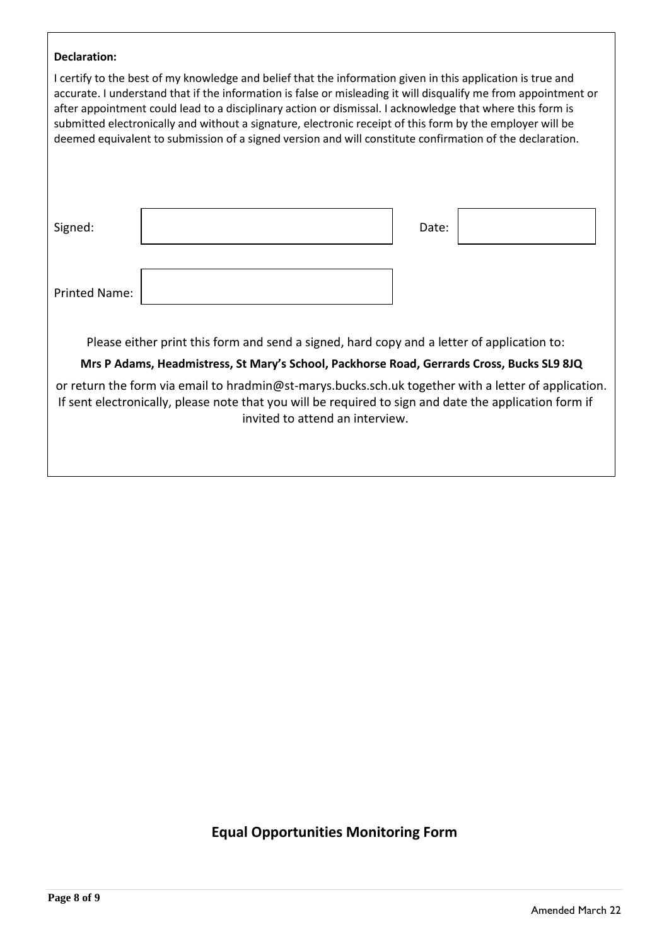| <b>Declaration:</b>  |                                                                                                                                                                                                                                                                                                                                                                                                                                                                                                                                                                      |       |  |
|----------------------|----------------------------------------------------------------------------------------------------------------------------------------------------------------------------------------------------------------------------------------------------------------------------------------------------------------------------------------------------------------------------------------------------------------------------------------------------------------------------------------------------------------------------------------------------------------------|-------|--|
|                      | I certify to the best of my knowledge and belief that the information given in this application is true and<br>accurate. I understand that if the information is false or misleading it will disqualify me from appointment or<br>after appointment could lead to a disciplinary action or dismissal. I acknowledge that where this form is<br>submitted electronically and without a signature, electronic receipt of this form by the employer will be<br>deemed equivalent to submission of a signed version and will constitute confirmation of the declaration. |       |  |
| Signed:              |                                                                                                                                                                                                                                                                                                                                                                                                                                                                                                                                                                      | Date: |  |
| <b>Printed Name:</b> |                                                                                                                                                                                                                                                                                                                                                                                                                                                                                                                                                                      |       |  |
|                      | Please either print this form and send a signed, hard copy and a letter of application to:                                                                                                                                                                                                                                                                                                                                                                                                                                                                           |       |  |
|                      | Mrs P Adams, Headmistress, St Mary's School, Packhorse Road, Gerrards Cross, Bucks SL9 8JQ                                                                                                                                                                                                                                                                                                                                                                                                                                                                           |       |  |
|                      | or return the form via email to hradmin@st-marys.bucks.sch.uk together with a letter of application.<br>If sent electronically, please note that you will be required to sign and date the application form if<br>invited to attend an interview.                                                                                                                                                                                                                                                                                                                    |       |  |
|                      |                                                                                                                                                                                                                                                                                                                                                                                                                                                                                                                                                                      |       |  |

## **Equal Opportunities Monitoring Form**